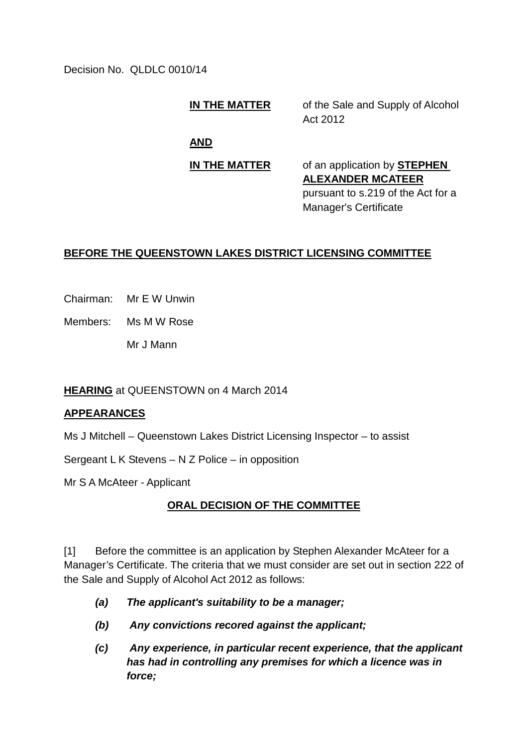Decision No. QLDLC 0010/14

## **IN THE MATTER** of the Sale and Supply of Alcohol

Act 2012

**AND**

#### **IN THE MATTER** of an application by **STEPHEN**

**ALEXANDER MCATEER** pursuant to s.219 of the Act for a Manager's Certificate

# **BEFORE THE QUEENSTOWN LAKES DISTRICT LICENSING COMMITTEE**

Chairman: Mr E W Unwin

Members: Ms M W Rose

Mr J Mann

### **HEARING** at QUEENSTOWN on 4 March 2014

### **APPEARANCES**

Ms J Mitchell – Queenstown Lakes District Licensing Inspector – to assist

Sergeant L K Stevens – N Z Police – in opposition

Mr S A McAteer - Applicant

# **ORAL DECISION OF THE COMMITTEE**

[1] Before the committee is an application by Stephen Alexander McAteer for a Manager's Certificate. The criteria that we must consider are set out in section 222 of the Sale and Supply of Alcohol Act 2012 as follows:

- *(a) The applicant's suitability to be a manager;*
- *(b) Any convictions recored against the applicant;*
- *(c) Any experience, in particular recent experience, that the applicant has had in controlling any premises for which a licence was in force;*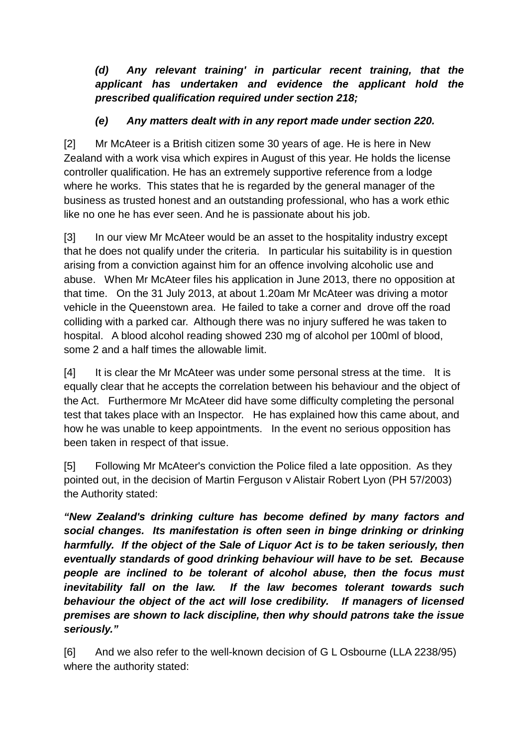*(d) Any relevant training' in particular recent training, that the applicant has undertaken and evidence the applicant hold the prescribed qualification required under section 218;*

### *(e) Any matters dealt with in any report made under section 220.*

[2] Mr McAteer is a British citizen some 30 years of age. He is here in New Zealand with a work visa which expires in August of this year. He holds the license controller qualification. He has an extremely supportive reference from a lodge where he works. This states that he is regarded by the general manager of the business as trusted honest and an outstanding professional, who has a work ethic like no one he has ever seen. And he is passionate about his job.

[3] In our view Mr McAteer would be an asset to the hospitality industry except that he does not qualify under the criteria. In particular his suitability is in question arising from a conviction against him for an offence involving alcoholic use and abuse. When Mr McAteer files his application in June 2013, there no opposition at that time. On the 31 July 2013, at about 1.20am Mr McAteer was driving a motor vehicle in the Queenstown area. He failed to take a corner and drove off the road colliding with a parked car. Although there was no injury suffered he was taken to hospital. A blood alcohol reading showed 230 mg of alcohol per 100ml of blood, some 2 and a half times the allowable limit.

[4] It is clear the Mr McAteer was under some personal stress at the time. It is equally clear that he accepts the correlation between his behaviour and the object of the Act. Furthermore Mr McAteer did have some difficulty completing the personal test that takes place with an Inspector. He has explained how this came about, and how he was unable to keep appointments. In the event no serious opposition has been taken in respect of that issue.

[5] Following Mr McAteer's conviction the Police filed a late opposition. As they pointed out, in the decision of Martin Ferguson v Alistair Robert Lyon (PH 57/2003) the Authority stated:

*"New Zealand's drinking culture has become defined by many factors and social changes. Its manifestation is often seen in binge drinking or drinking harmfully. If the object of the Sale of Liquor Act is to be taken seriously, then eventually standards of good drinking behaviour will have to be set. Because people are inclined to be tolerant of alcohol abuse, then the focus must inevitability fall on the law. If the law becomes tolerant towards such behaviour the object of the act will lose credibility. If managers of licensed premises are shown to lack discipline, then why should patrons take the issue seriously."* 

[6] And we also refer to the well-known decision of G L Osbourne (LLA 2238/95) where the authority stated: